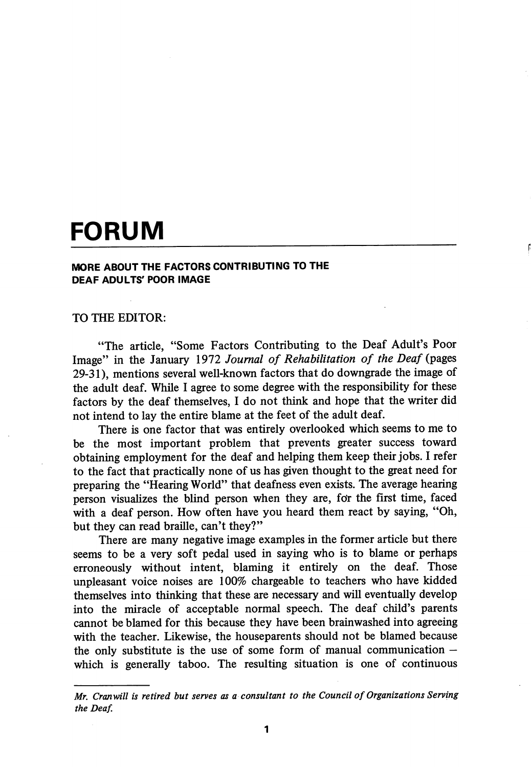## FORUM

## MORE ABOUT THE FACTORS CONTRIBUTING TO THE DEAF ADULTS' POOR IMAGE

## TO THE EDITOR:

"The article, "Some Factors Contributing to the Deaf Adult's Poor Image" in the January 1972 Journal of Rehabilitation of the Deaf (pages 29-31), mentions several well-known factors that do downgrade the image of the adult deaf. While I agree to some degree with the responsibility for these factors by the deaf themselves, I do not think and hope that the writer did not intend to lay the entire blame at the feet of the adult deaf.

There is one factor that was entirely overlooked which seems to me to be the most important problem that prevents greater success toward obtaining employment for the deaf and helping them keep their jobs. I refer to the fact that practically none of us has given thought to the great need for preparing the "Hearing World" that deafness even exists. The average hearing person visualizes the blind person when they are, for the first time, faced with a deaf person. How often have you heard them react by saying, "Oh, but they can read braille, can't they?"

There are many negative image examples in the former article but there seems to be a very soft pedal used in saying who is to blame or perhaps erroneously without intent, blaming it entirely on the deaf. Those unpleasant voice noises are 100% chargeable to teachers who have kidded themselves into thinking that these are necessary and will eventually develop into the miracle of acceptable normal speech. The deaf child's parents cannot be blamed for this because they have been brainwashed into agreeing with the teacher. Likewise, the houseparents should not be blamed because the only substitute is the use of some form of manual communication  $$ which is generally taboo. The resulting situation is one of continuous

Afr. Cranwill is retired but serves as a consultant to the Council of Organizations Serving the Deaf.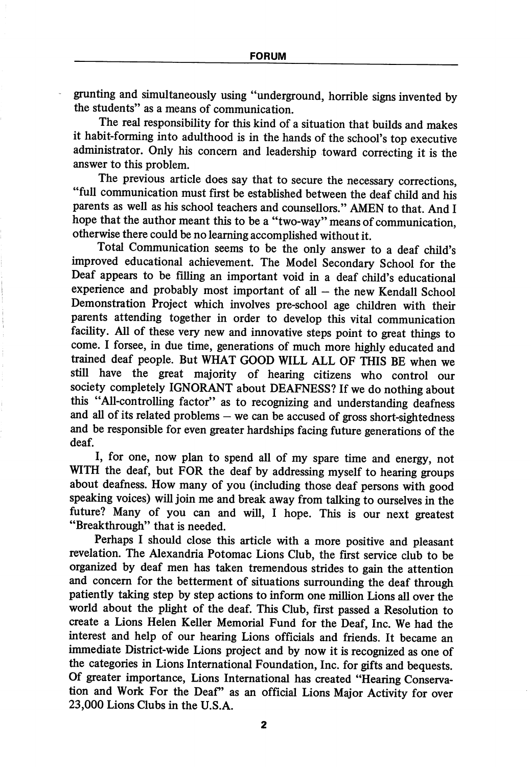grunting and simultaneously using "underground, horrible signs invented by the students" as a means of communication.

The real responsibility for this kind of a situation that builds and makes it habit-forming into adulthood is in the hands of the school's top executive administrator. Only his concern and leadership toward correcting it is the answer to this problem.

The previous article does say that to secure the necessary corrections, "full communication must first be established between the deaf child and his parents as well as his school teachers and counsellors." AMEN to that. And I hope that the author meant this to be a "two-way" means of communication, otherwise there could be no learning accomplished without it.

Total Communication seems to be the only answer to a deaf child's improved educational achievement. The Model Secondary School for the Deaf appears to be filling an important void in a deaf child's educational experience and probably most important of all — the new Kendall School Demonstration Project which involves pre-school age children with their parents attending together in order to develop this vital communication facility. All of these very new and innovative steps point to great things to come. I forsee, in due time, generations of much more highly educated and trained deaf people. But WHAT GOOD WILL ALL OF THIS BE when we still have the great majority of hearing citizens who control our society completely IGNORANT about DEAFNESS? If we do nothing about this "All-controlling factor" as to recognizing and understanding deafness and all of its related problems — we can be accused of gross short-sightedness and be responsible for even greater hardships facing future generations of the deaf.

I, for one, now plan to spend all of my spare time and energy, not WITH the deaf, but FOR the deaf by addressing myself to hearing groups about deafness. How many of you (including those deaf persons with good speaking voices) will join me and break away from talking to ourselves in the future? Many of you can and will, I hope. This is our next greatest "Breakthrough" that is needed.

Perhaps I should close this article with a more positive and pleasant revelation. The Alexandria Potomac Lions Club, the first service club to be organized by deaf men has taken tremendous strides to gain the attention and concern for the betterment of situations surrounding the deaf through patiently taking step by step actions to inform one million Lions all over the world about the phght of the deaf. This Club, first passed a Resolution to create a Lions Helen Keller Memorial Fund for the Deaf, Inc. We had the interest and help of our hearing Lions officials and friends. It became an immediate District-wide Lions project and by now it is recognized as one of the categories in Lions International Foundation, Inc. for gifts and bequests. Of greater importance. Lions International has created "Hearing Conserva tion and Work For the Deaf" as an official Lions Major Activity for over 23,000 Lions Clubs in the U.S.A.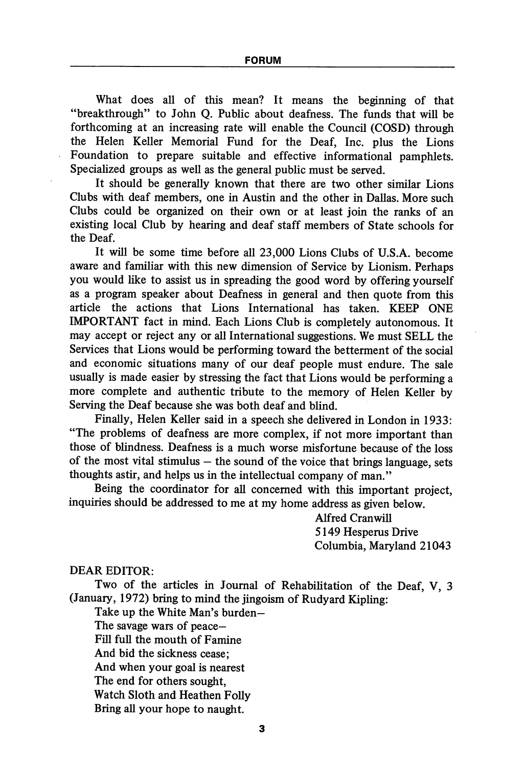What does all of this mean? It means the beginning of that "breakthrough" to John Q. Public about deafness. The funds that will be forthcoming at an increasing rate will enable the Council (COSD) through the Helen Keller Memorial Fund for the Deaf, Inc. plus the Lions Foundation to prepare suitable and effective informational pamphlets. Specialized groups as well as the general public must be served.

It should be generally known that there are two other similar Lions Clubs with deaf members, one in Austin and the other in Dallas. More such Clubs could be organized on their own or at least join the ranks of an existing local Club by hearing and deaf staff members of State schools for the Deaf.

It will be some time before all 23,000 Lions Clubs of U.S.A. become aware and familiar with this new dimension of Service by Lionism. Perhaps you would like to assist us in spreading the good word by offering yourself as a program speaker about Deafness in general and then quote from this article the actions that Lions International has taken. KEEP ONE IMPORTANT fact in mind. Each Lions Club is completely autonomous. It may accept or reject any or all International suggestions. We must SELL the Services that Lions would be performing toward the betterment of the social and economic situations many of our deaf people must endure. The sale usually is made easier by stressing the fact that Lions would be performing a more complete and authentic tribute to the memory of Helen Keller by Serving the Deaf because she was both deaf and blind.

Finally, Helen Keller said in a speech she dehvered in London in 1933: "The problems of deafness are more complex, if not more important than those of blindness. Deafness is a much worse misfortune because of the loss of the most vital stimulus  $-$  the sound of the voice that brings language, sets thoughts astir, and helps us in the intellectual company of man."

Being the coordinator for all concerned with this important project, inquiries should be addressed to me at my home address as given below.

> Alfred Cranwill 5149 Hesperus Drive Columbia, Maryland 21043

DEAR EDITOR:

Two of the articles in Journal of Rehabilitation of the Deaf, V, 3 (January, 1972) bring to mind the jingoism of Rudyard Kipling:

Take up the White Man's burden—

The savage wars of peace—

Fill full the mouth of Famine

And bid the sickness cease;

And when your goal is nearest

The end for others sought.

Watch Sloth and Heathen Folly

Bring all your hope to naught.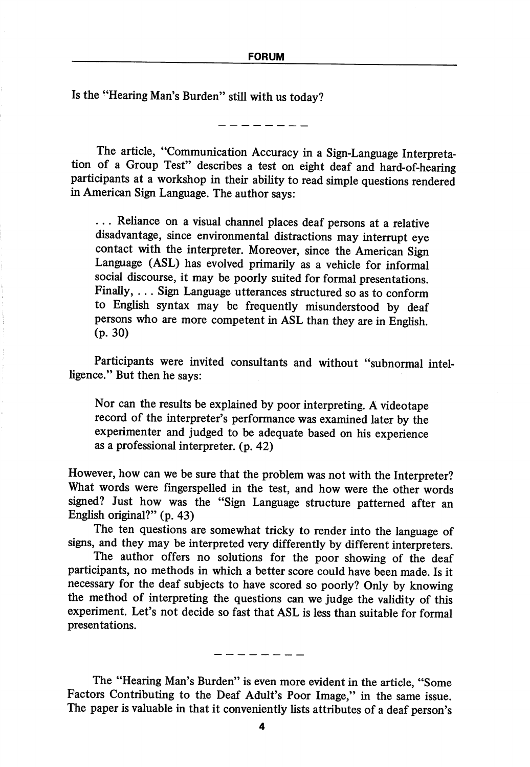Is the "Hearing Man's Burden" still with us today?

The article, "Communication Accuracy in a Sign-Language Interpreta tion of a Group Test" describes a test on eight deaf and hard-of-hearing participants at a workshop in their ability to read simple questions rendered in American Sign Language. The author says:

... Reliance on a visual channel places deaf persons at a relative disadvantage, since environmental distractions may interrupt eye contact with the interpreter. Moreover, since the American Sign Language (ASL) has evolved primarily as a vehicle for informal social discourse, it may be poorly suited for formal presentations. Finally, ... Sign Language utterances structured so as to conform to English syntax may be frequently misunderstood by deaf persons who are more competent in ASL than they are in English (p. 30)

Participants were invited consultants and without "subnormal intel ligence." But then he says:

Nor can the results be explained by poor interpreting. A videotape record of the interpreter's performance was examined later by the experimenter and judged to be adequate based on his experience as a professional interpreter, (p. 42)

However, how can we be sure that the problem was not with the Interpreter? What words were fingerspelled in the test, and how were the other words signed? Just how was the "Sign Language structure patterned after an English original?" (p. 43)

The ten questions are somewhat tricky to render into the language of signs, and they may be interpreted very differently by different interpreters.

The author offers no solutions for the poor showing of the deaf participants, no methods in which a better score could have been made. Is it necessary for the deaf subjects to have scored so poorly? Only by knowing the method of interpreting the questions can we judge the validity of this experiment. Let's not decide so fast that ASL is less than suitable for formal presentations.

The "Hearing Man's Burden" is even more evident in the article, "Some Factors Contributing to the Deaf Adult's Poor Image," in the same issue. The paper is valuable in that it conveniently lists attributes of a deaf person's

------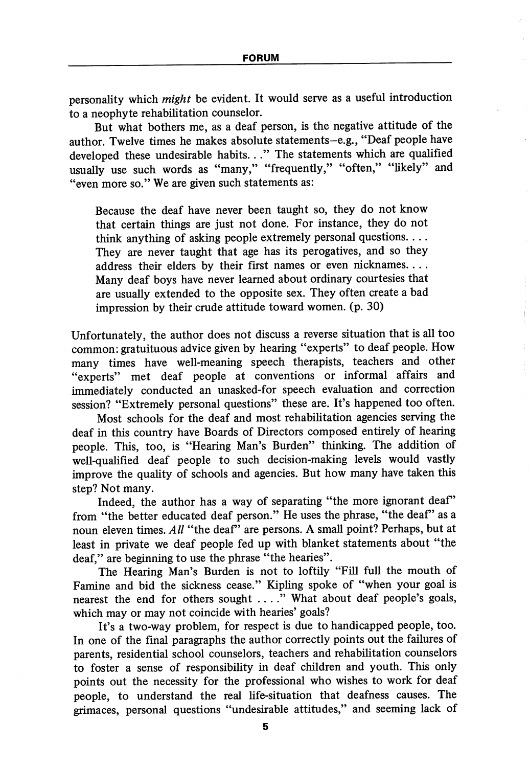personality which *might* be evident. It would serve as a useful introduction to a neophyte rehabilitation counselor.

But what bothers me, as a deaf person, is the negative attitude of the author. Twelve times he makes absolute statements-e.g., "Deaf people have developed these undesirable habits..." The statements which are qualified usually use such words as "many," "frequently," "often," "likely" and "even more so." We are given such statements as:

Because the deaf have never been taught so, they do not know that certain things are just not done. For instance, they do not think anything of asking people extremely personal questions.... They are never taught that age has its perogatives, and so they address their elders by their first names or even nicknames.... Many deaf boys have never learned about ordinary courtesies that are usually extended to the opposite sex. They often create a bad impression by their crude attitude toward women, (p. 30)

Unfortunately, the author does not discuss a reverse situation that is all too common: gratuituous advice given by hearing "experts" to deaf people. How many times have well-meaning speech therapists, teachers and other "experts" met deaf people at conventions or informal affairs and immediately conducted an unasked-for speech evaluation and correction session? "Extremely personal questions" these are. It's happened too often.

Most schools for the deaf and most rehabilitation agencies serving the deaf in this country have Boards of Directors composed entirely of hearing people. This, too, is "Hearing Man's Burden" thinking. The addition of well-qualified deaf people to such decision-making levels would vastly improve the quality of schools and agencies. But how many have taken this step? Not many.

Indeed, the author has a way of separating "the more ignorant deaf" from "the better educated deaf person." He uses the phrase, "the deaf" as a noun eleven times.  $All$  "the deaf" are persons. A small point? Perhaps, but at least in private we deaf people fed up with blanket statements about "the deaf," are beginning to use the phrase "the hearies".

The Hearing Man's Burden is not to loftily "Fill full the mouth of Famine and bid the sickness cease." Kipling spoke of "when your goal is nearest the end for others sought .. .." What about deaf people's goals, which may or may not coincide with hearies' goals?

It's a two-way problem, for respect is due to handicapped people, too. In one of the final paragraphs the author correctly points out the failures of parents, residential school counselors, teachers and rehabilitation counselors to foster a sense of responsibility in deaf children and youth. This only points out the necessity for the professional who wishes to work for deaf people, to understand the real life-situation that deafness causes. The grimaces, personal questions "undesirable attitudes," and seeming lack of